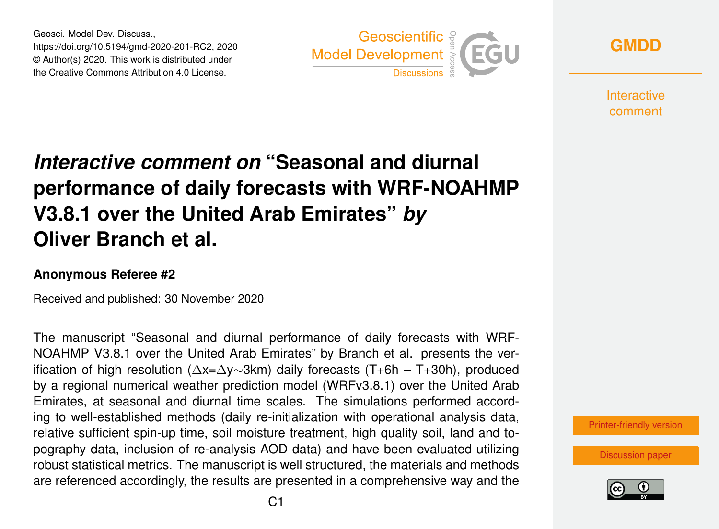Geosci. Model Dev. Discuss., https://doi.org/10.5194/gmd-2020-201-RC2, 2020 © Author(s) 2020. This work is distributed under the Creative Commons Attribution 4.0 License.



**[GMDD](https://gmd.copernicus.org/preprints/)**

**Interactive** comment

## *Interactive comment on* **"Seasonal and diurnal performance of daily forecasts with WRF-NOAHMP V3.8.1 over the United Arab Emirates"** *by* **Oliver Branch et al.**

## **Anonymous Referee #2**

Received and published: 30 November 2020

The manuscript "Seasonal and diurnal performance of daily forecasts with WRF-NOAHMP V3.8.1 over the United Arab Emirates" by Branch et al. presents the verification of high resolution (∆x=∆y∼3km) daily forecasts (T+6h – T+30h), produced by a regional numerical weather prediction model (WRFv3.8.1) over the United Arab Emirates, at seasonal and diurnal time scales. The simulations performed according to well-established methods (daily re-initialization with operational analysis data, relative sufficient spin-up time, soil moisture treatment, high quality soil, land and topography data, inclusion of re-analysis AOD data) and have been evaluated utilizing robust statistical metrics. The manuscript is well structured, the materials and methods are referenced accordingly, the results are presented in a comprehensive way and the

[Printer-friendly version](https://gmd.copernicus.org/preprints/gmd-2020-201/gmd-2020-201-RC2-print.pdf)

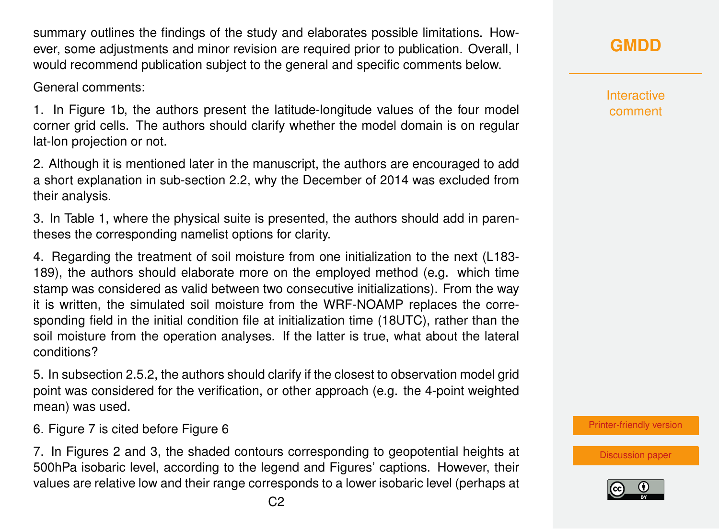summary outlines the findings of the study and elaborates possible limitations. However, some adjustments and minor revision are required prior to publication. Overall, I would recommend publication subject to the general and specific comments below.

General comments:

1. In Figure 1b, the authors present the latitude-longitude values of the four model corner grid cells. The authors should clarify whether the model domain is on regular lat-lon projection or not.

2. Although it is mentioned later in the manuscript, the authors are encouraged to add a short explanation in sub-section 2.2, why the December of 2014 was excluded from their analysis.

3. In Table 1, where the physical suite is presented, the authors should add in parentheses the corresponding namelist options for clarity.

4. Regarding the treatment of soil moisture from one initialization to the next (L183- 189), the authors should elaborate more on the employed method (e.g. which time stamp was considered as valid between two consecutive initializations). From the way it is written, the simulated soil moisture from the WRF-NOAMP replaces the corresponding field in the initial condition file at initialization time (18UTC), rather than the soil moisture from the operation analyses. If the latter is true, what about the lateral conditions?

5. In subsection 2.5.2, the authors should clarify if the closest to observation model grid point was considered for the verification, or other approach (e.g. the 4-point weighted mean) was used.

6. Figure 7 is cited before Figure 6

7. In Figures 2 and 3, the shaded contours corresponding to geopotential heights at 500hPa isobaric level, according to the legend and Figures' captions. However, their values are relative low and their range corresponds to a lower isobaric level (perhaps at

**Interactive** comment

[Printer-friendly version](https://gmd.copernicus.org/preprints/gmd-2020-201/gmd-2020-201-RC2-print.pdf)

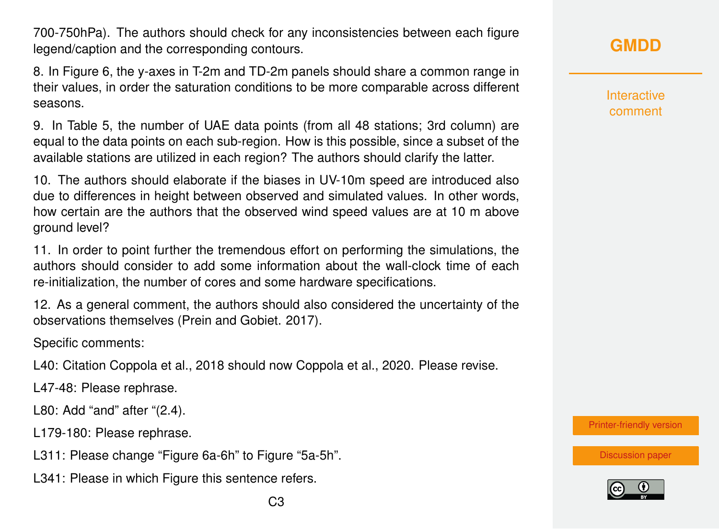700-750hPa). The authors should check for any inconsistencies between each figure legend/caption and the corresponding contours.

8. In Figure 6, the y-axes in T-2m and TD-2m panels should share a common range in their values, in order the saturation conditions to be more comparable across different seasons.

9. In Table 5, the number of UAE data points (from all 48 stations; 3rd column) are equal to the data points on each sub-region. How is this possible, since a subset of the available stations are utilized in each region? The authors should clarify the latter.

10. The authors should elaborate if the biases in UV-10m speed are introduced also due to differences in height between observed and simulated values. In other words, how certain are the authors that the observed wind speed values are at 10 m above ground level?

11. In order to point further the tremendous effort on performing the simulations, the authors should consider to add some information about the wall-clock time of each re-initialization, the number of cores and some hardware specifications.

12. As a general comment, the authors should also considered the uncertainty of the observations themselves (Prein and Gobiet. 2017).

Specific comments:

L40: Citation Coppola et al., 2018 should now Coppola et al., 2020. Please revise.

L47-48: Please rephrase.

L80: Add "and" after "(2.4).

L179-180: Please rephrase.

- L311: Please change "Figure 6a-6h" to Figure "5a-5h".
- L341: Please in which Figure this sentence refers.

Interactive comment

[Printer-friendly version](https://gmd.copernicus.org/preprints/gmd-2020-201/gmd-2020-201-RC2-print.pdf)